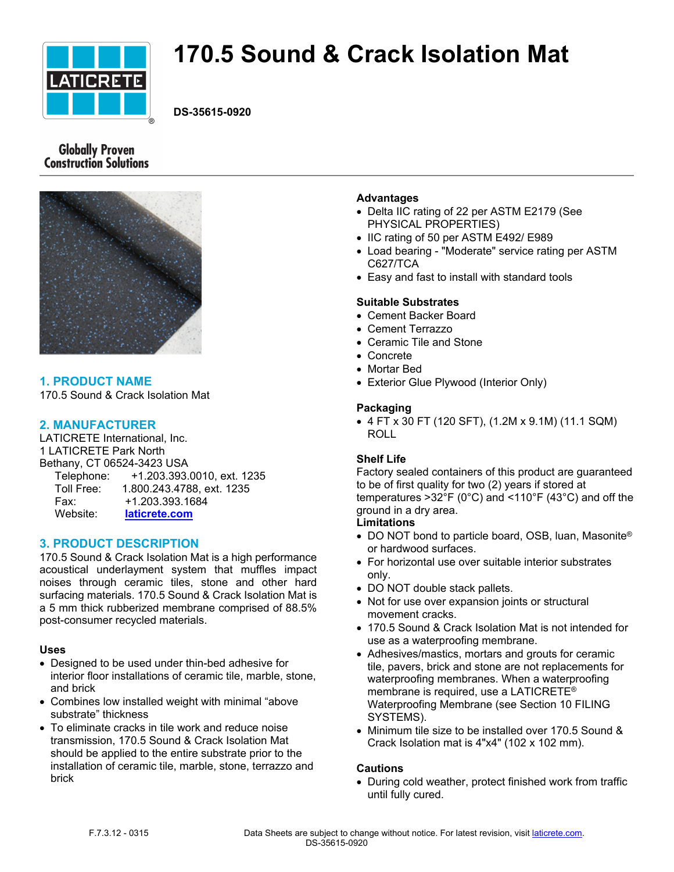

# **170.5 Sound & Crack Isolation Mat**

**DS-35615-0920**

# **Globally Proven Construction Solutions**



# **1. PRODUCT NAME**

170.5 Sound & Crack Isolation Mat

## **2. MANUFACTURER**

LATICRETE International, Inc. 1 LATICRETE Park North Bethany, CT 06524-3423 USA Telephone: +1.203.393.0010, ext. 1235 Toll Free: 1.800.243.4788, ext. 1235 Fax: +1.203.393.1684 Website: **[laticrete.com](https://laticrete.com/)**

## **3. PRODUCT DESCRIPTION**

170.5 Sound & Crack Isolation Mat is a high performance acoustical underlayment system that muffles impact noises through ceramic tiles, stone and other hard surfacing materials. 170.5 Sound & Crack Isolation Mat is a 5 mm thick rubberized membrane comprised of 88.5% post-consumer recycled materials.

#### **Uses**

- Designed to be used under thin-bed adhesive for interior floor installations of ceramic tile, marble, stone, and brick
- Combines low installed weight with minimal "above substrate" thickness
- To eliminate cracks in tile work and reduce noise transmission, 170.5 Sound & Crack Isolation Mat should be applied to the entire substrate prior to the installation of ceramic tile, marble, stone, terrazzo and brick

#### **Advantages**

- Delta IIC rating of 22 per ASTM E2179 (See PHYSICAL PROPERTIES)
- IIC rating of 50 per ASTM E492/ E989
- Load bearing "Moderate" service rating per ASTM C627/TCA
- Easy and fast to install with standard tools

#### **Suitable Substrates**

- Cement Backer Board
- Cement Terrazzo
- Ceramic Tile and Stone
- Concrete
- Mortar Bed
- Exterior Glue Plywood (Interior Only)

#### **Packaging**

 4 FT x 30 FT (120 SFT), (1.2M x 9.1M) (11.1 SQM) ROLL

## **Shelf Life**

Factory sealed containers of this product are guaranteed to be of first quality for two (2) years if stored at temperatures >32°F (0°C) and <110°F (43°C) and off the ground in a dry area.

## **Limitations**

- DO NOT bond to particle board, OSB, luan, Masonite<sup>®</sup> or hardwood surfaces.
- For horizontal use over suitable interior substrates only.
- DO NOT double stack pallets.
- Not for use over expansion joints or structural movement cracks.
- 170.5 Sound & Crack Isolation Mat is not intended for use as a waterproofing membrane.
- Adhesives/mastics, mortars and grouts for ceramic tile, pavers, brick and stone are not replacements for waterproofing membranes. When a waterproofing membrane is required, use a LATICRETE® Waterproofing Membrane (see Section 10 FILING SYSTEMS).
- Minimum tile size to be installed over 170.5 Sound & Crack Isolation mat is 4"x4" (102 x 102 mm).

#### **Cautions**

 During cold weather, protect finished work from traffic until fully cured.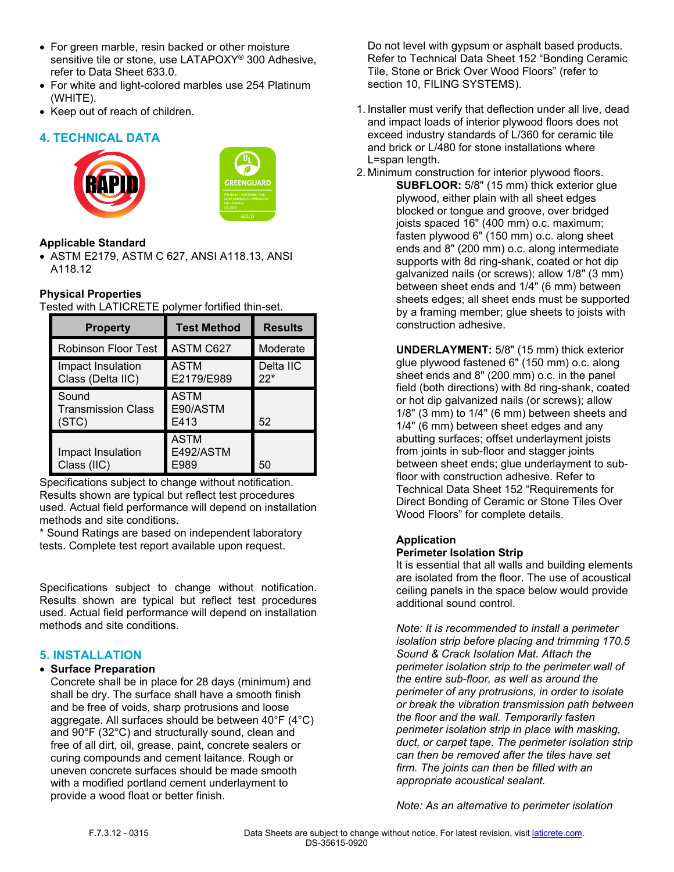- For green marble, resin backed or other moisture sensitive tile or stone, use LATAPOXY® 300 Adhesive, refer to Data Sheet 633.0.
- For white and light-colored marbles use 254 Platinum (WHITE).
- Keep out of reach of children.

# **4. TECHNICAL DATA**





## **Applicable Standard**

 ASTM E2179, ASTM C 627, ANSI A118.13, ANSI A118.12

## **Physical Properties**

Tested with LATICRETE polymer fortified thin-set.

| <b>Property</b>                             | <b>Test Method</b>               | <b>Results</b>     |
|---------------------------------------------|----------------------------------|--------------------|
| <b>Robinson Floor Test</b>                  | ASTM C627                        | Moderate           |
| Impact Insulation<br>Class (Delta IIC)      | <b>ASTM</b><br>E2179/E989        | Delta IIC<br>$22*$ |
| Sound<br><b>Transmission Class</b><br>(STC) | <b>ASTM</b><br>E90/ASTM<br>E413  | 52                 |
| Impact Insulation<br>Class (IIC)            | <b>ASTM</b><br>E492/ASTM<br>E989 | 50                 |

Specifications subject to change without notification. Results shown are typical but reflect test procedures used. Actual field performance will depend on installation methods and site conditions.

\* Sound Ratings are based on independent laboratory tests. Complete test report available upon request.

Specifications subject to change without notification. Results shown are typical but reflect test procedures used. Actual field performance will depend on installation methods and site conditions.

## **5. INSTALLATION**

#### **Surface Preparation**

Concrete shall be in place for 28 days (minimum) and shall be dry. The surface shall have a smooth finish and be free of voids, sharp protrusions and loose aggregate. All surfaces should be between 40°F (4°C) and 90°F (32°C) and structurally sound, clean and free of all dirt, oil, grease, paint, concrete sealers or curing compounds and cement laitance. Rough or uneven concrete surfaces should be made smooth with a modified portland cement underlayment to provide a wood float or better finish.

Do not level with gypsum or asphalt based products. Refer to Technical Data Sheet 152 "Bonding Ceramic Tile, Stone or Brick Over Wood Floors" (refer to section 10, FILING SYSTEMS).

- 1. Installer must verify that deflection under all live, dead and impact loads of interior plywood floors does not exceed industry standards of L/360 for ceramic tile and brick or L/480 for stone installations where L=span length.
- 2. Minimum construction for interior plywood floors. **SUBFLOOR:** 5/8" (15 mm) thick exterior glue plywood, either plain with all sheet edges blocked or tongue and groove, over bridged joists spaced 16" (400 mm) o.c. maximum; fasten plywood 6" (150 mm) o.c. along sheet ends and 8" (200 mm) o.c. along intermediate supports with 8d ring-shank, coated or hot dip galvanized nails (or screws); allow 1/8" (3 mm) between sheet ends and 1/4" (6 mm) between sheets edges; all sheet ends must be supported by a framing member; glue sheets to joists with construction adhesive.

**UNDERLAYMENT:** 5/8" (15 mm) thick exterior glue plywood fastened 6" (150 mm) o.c. along sheet ends and 8" (200 mm) o.c. in the panel field (both directions) with 8d ring-shank, coated or hot dip galvanized nails (or screws); allow 1/8" (3 mm) to 1/4" (6 mm) between sheets and 1/4" (6 mm) between sheet edges and any abutting surfaces; offset underlayment joists from joints in sub-floor and stagger joints between sheet ends; glue underlayment to subfloor with construction adhesive. Refer to Technical Data Sheet 152 "Requirements for Direct Bonding of Ceramic or Stone Tiles Over Wood Floors" for complete details.

## **Application**

## **Perimeter Isolation Strip**

It is essential that all walls and building elements are isolated from the floor. The use of acoustical ceiling panels in the space below would provide additional sound control.

*Note: It is recommended to install a perimeter isolation strip before placing and trimming 170.5 Sound & Crack Isolation Mat. Attach the perimeter isolation strip to the perimeter wall of the entire sub-floor, as well as around the perimeter of any protrusions, in order to isolate or break the vibration transmission path between the floor and the wall. Temporarily fasten perimeter isolation strip in place with masking, duct, or carpet tape. The perimeter isolation strip can then be removed after the tiles have set firm. The joints can then be filled with an appropriate acoustical sealant.* 

*Note: As an alternative to perimeter isolation*